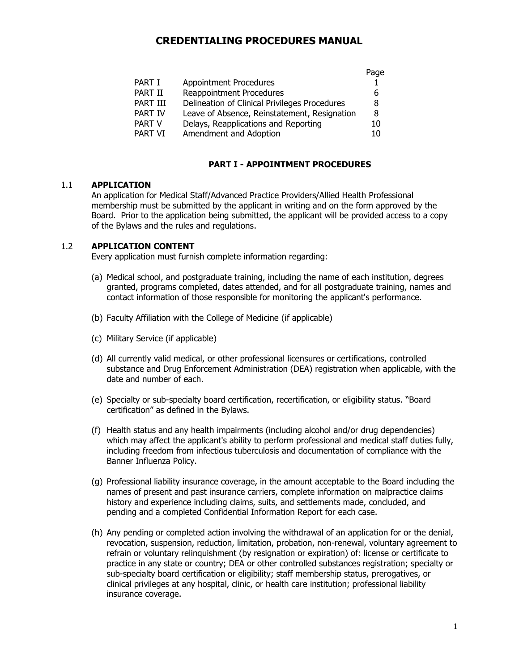# **CREDENTIALING PROCEDURES MANUAL**

|          |                                               | Page |
|----------|-----------------------------------------------|------|
| PART I   | <b>Appointment Procedures</b>                 |      |
| PART II  | Reappointment Procedures                      | 6    |
| PART III | Delineation of Clinical Privileges Procedures | 8    |
| PART IV  | Leave of Absence, Reinstatement, Resignation  | 8    |
| PART V   | Delays, Reapplications and Reporting          | 10   |
| PART VI  | Amendment and Adoption                        | 10   |
|          |                                               |      |

## **PART I - APPOINTMENT PROCEDURES**

#### 1.1 **APPLICATION**

An application for Medical Staff/Advanced Practice Providers/Allied Health Professional membership must be submitted by the applicant in writing and on the form approved by the Board. Prior to the application being submitted, the applicant will be provided access to a copy of the Bylaws and the rules and regulations.

#### 1.2 **APPLICATION CONTENT**

Every application must furnish complete information regarding:

- (a) Medical school, and postgraduate training, including the name of each institution, degrees granted, programs completed, dates attended, and for all postgraduate training, names and contact information of those responsible for monitoring the applicant's performance.
- (b) Faculty Affiliation with the College of Medicine (if applicable)
- (c) Military Service (if applicable)
- (d) All currently valid medical, or other professional licensures or certifications, controlled substance and Drug Enforcement Administration (DEA) registration when applicable, with the date and number of each.
- (e) Specialty or sub-specialty board certification, recertification, or eligibility status. "Board certification" as defined in the Bylaws.
- (f) Health status and any health impairments (including alcohol and/or drug dependencies) which may affect the applicant's ability to perform professional and medical staff duties fully, including freedom from infectious tuberculosis and documentation of compliance with the Banner Influenza Policy.
- (g) Professional liability insurance coverage, in the amount acceptable to the Board including the names of present and past insurance carriers, complete information on malpractice claims history and experience including claims, suits, and settlements made, concluded, and pending and a completed Confidential Information Report for each case.
- (h) Any pending or completed action involving the withdrawal of an application for or the denial, revocation, suspension, reduction, limitation, probation, non-renewal, voluntary agreement to refrain or voluntary relinquishment (by resignation or expiration) of: license or certificate to practice in any state or country; DEA or other controlled substances registration; specialty or sub-specialty board certification or eligibility; staff membership status, prerogatives, or clinical privileges at any hospital, clinic, or health care institution; professional liability insurance coverage.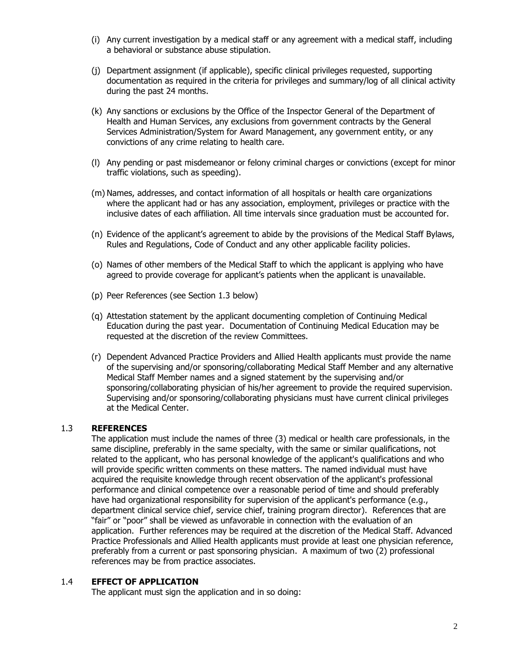- (i) Any current investigation by a medical staff or any agreement with a medical staff, including a behavioral or substance abuse stipulation.
- (j) Department assignment (if applicable), specific clinical privileges requested, supporting documentation as required in the criteria for privileges and summary/log of all clinical activity during the past 24 months.
- (k) Any sanctions or exclusions by the Office of the Inspector General of the Department of Health and Human Services, any exclusions from government contracts by the General Services Administration/System for Award Management, any government entity, or any convictions of any crime relating to health care.
- (l) Any pending or past misdemeanor or felony criminal charges or convictions (except for minor traffic violations, such as speeding).
- (m) Names, addresses, and contact information of all hospitals or health care organizations where the applicant had or has any association, employment, privileges or practice with the inclusive dates of each affiliation. All time intervals since graduation must be accounted for.
- (n) Evidence of the applicant's agreement to abide by the provisions of the Medical Staff Bylaws, Rules and Regulations, Code of Conduct and any other applicable facility policies.
- (o) Names of other members of the Medical Staff to which the applicant is applying who have agreed to provide coverage for applicant's patients when the applicant is unavailable.
- (p) Peer References (see Section 1.3 below)
- (q) Attestation statement by the applicant documenting completion of Continuing Medical Education during the past year. Documentation of Continuing Medical Education may be requested at the discretion of the review Committees.
- (r) Dependent Advanced Practice Providers and Allied Health applicants must provide the name of the supervising and/or sponsoring/collaborating Medical Staff Member and any alternative Medical Staff Member names and a signed statement by the supervising and/or sponsoring/collaborating physician of his/her agreement to provide the required supervision. Supervising and/or sponsoring/collaborating physicians must have current clinical privileges at the Medical Center.

## 1.3 **REFERENCES**

The application must include the names of three (3) medical or health care professionals, in the same discipline, preferably in the same specialty, with the same or similar qualifications, not related to the applicant, who has personal knowledge of the applicant's qualifications and who will provide specific written comments on these matters. The named individual must have acquired the requisite knowledge through recent observation of the applicant's professional performance and clinical competence over a reasonable period of time and should preferably have had organizational responsibility for supervision of the applicant's performance (e.g., department clinical service chief, service chief, training program director). References that are "fair" or "poor" shall be viewed as unfavorable in connection with the evaluation of an application. Further references may be required at the discretion of the Medical Staff. Advanced Practice Professionals and Allied Health applicants must provide at least one physician reference, preferably from a current or past sponsoring physician. A maximum of two (2) professional references may be from practice associates.

## 1.4 **EFFECT OF APPLICATION**

The applicant must sign the application and in so doing: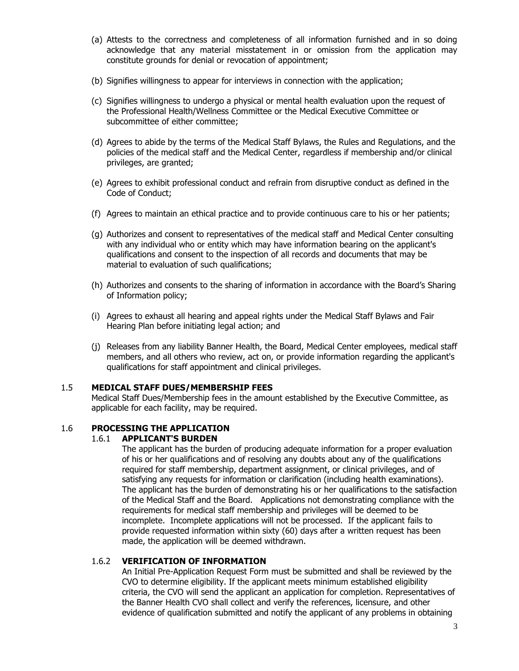- (a) Attests to the correctness and completeness of all information furnished and in so doing acknowledge that any material misstatement in or omission from the application may constitute grounds for denial or revocation of appointment;
- (b) Signifies willingness to appear for interviews in connection with the application;
- (c) Signifies willingness to undergo a physical or mental health evaluation upon the request of the Professional Health/Wellness Committee or the Medical Executive Committee or subcommittee of either committee;
- (d) Agrees to abide by the terms of the Medical Staff Bylaws, the Rules and Regulations, and the policies of the medical staff and the Medical Center, regardless if membership and/or clinical privileges, are granted;
- (e) Agrees to exhibit professional conduct and refrain from disruptive conduct as defined in the Code of Conduct;
- (f) Agrees to maintain an ethical practice and to provide continuous care to his or her patients;
- (g) Authorizes and consent to representatives of the medical staff and Medical Center consulting with any individual who or entity which may have information bearing on the applicant's qualifications and consent to the inspection of all records and documents that may be material to evaluation of such qualifications;
- (h) Authorizes and consents to the sharing of information in accordance with the Board's Sharing of Information policy;
- (i) Agrees to exhaust all hearing and appeal rights under the Medical Staff Bylaws and Fair Hearing Plan before initiating legal action; and
- (j) Releases from any liability Banner Health, the Board, Medical Center employees, medical staff members, and all others who review, act on, or provide information regarding the applicant's qualifications for staff appointment and clinical privileges.

#### 1.5 **MEDICAL STAFF DUES/MEMBERSHIP FEES**

Medical Staff Dues/Membership fees in the amount established by the Executive Committee, as applicable for each facility, may be required.

## 1.6 **PROCESSING THE APPLICATION**

## 1.6.1 **APPLICANT'S BURDEN**

The applicant has the burden of producing adequate information for a proper evaluation of his or her qualifications and of resolving any doubts about any of the qualifications required for staff membership, department assignment, or clinical privileges, and of satisfying any requests for information or clarification (including health examinations). The applicant has the burden of demonstrating his or her qualifications to the satisfaction of the Medical Staff and the Board. Applications not demonstrating compliance with the requirements for medical staff membership and privileges will be deemed to be incomplete. Incomplete applications will not be processed. If the applicant fails to provide requested information within sixty (60) days after a written request has been made, the application will be deemed withdrawn.

# 1.6.2 **VERIFICATION OF INFORMATION**

An Initial Pre-Application Request Form must be submitted and shall be reviewed by the CVO to determine eligibility. If the applicant meets minimum established eligibility criteria, the CVO will send the applicant an application for completion. Representatives of the Banner Health CVO shall collect and verify the references, licensure, and other evidence of qualification submitted and notify the applicant of any problems in obtaining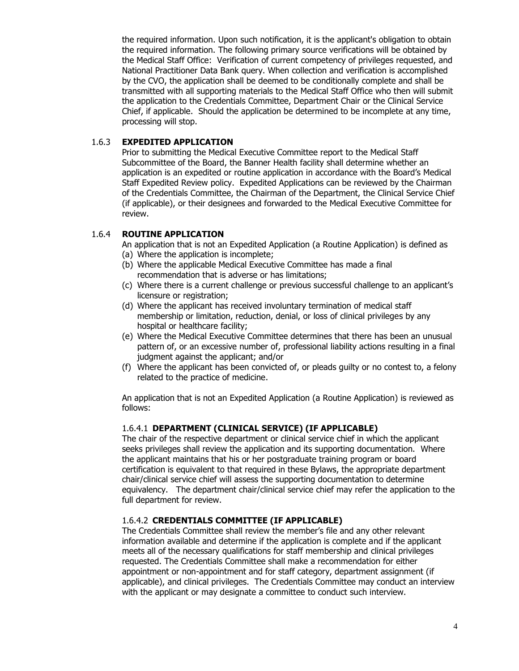the required information. Upon such notification, it is the applicant's obligation to obtain the required information. The following primary source verifications will be obtained by the Medical Staff Office: Verification of current competency of privileges requested, and National Practitioner Data Bank query. When collection and verification is accomplished by the CVO, the application shall be deemed to be conditionally complete and shall be transmitted with all supporting materials to the Medical Staff Office who then will submit the application to the Credentials Committee, Department Chair or the Clinical Service Chief, if applicable. Should the application be determined to be incomplete at any time, processing will stop.

#### 1.6.3 **EXPEDITED APPLICATION**

Prior to submitting the Medical Executive Committee report to the Medical Staff Subcommittee of the Board, the Banner Health facility shall determine whether an application is an expedited or routine application in accordance with the Board's Medical Staff Expedited Review policy. Expedited Applications can be reviewed by the Chairman of the Credentials Committee, the Chairman of the Department, the Clinical Service Chief (if applicable), or their designees and forwarded to the Medical Executive Committee for review.

#### 1.6.4 **ROUTINE APPLICATION**

An application that is not an Expedited Application (a Routine Application) is defined as

- (a) Where the application is incomplete;
- (b) Where the applicable Medical Executive Committee has made a final recommendation that is adverse or has limitations;
- (c) Where there is a current challenge or previous successful challenge to an applicant's licensure or registration;
- (d) Where the applicant has received involuntary termination of medical staff membership or limitation, reduction, denial, or loss of clinical privileges by any hospital or healthcare facility;
- (e) Where the Medical Executive Committee determines that there has been an unusual pattern of, or an excessive number of, professional liability actions resulting in a final judgment against the applicant; and/or
- (f) Where the applicant has been convicted of, or pleads guilty or no contest to, a felony related to the practice of medicine.

An application that is not an Expedited Application (a Routine Application) is reviewed as follows:

#### 1.6.4.1 **DEPARTMENT (CLINICAL SERVICE) (IF APPLICABLE)**

The chair of the respective department or clinical service chief in which the applicant seeks privileges shall review the application and its supporting documentation. Where the applicant maintains that his or her postgraduate training program or board certification is equivalent to that required in these Bylaws, the appropriate department chair/clinical service chief will assess the supporting documentation to determine equivalency. The department chair/clinical service chief may refer the application to the full department for review.

## 1.6.4.2 **CREDENTIALS COMMITTEE (IF APPLICABLE)**

The Credentials Committee shall review the member's file and any other relevant information available and determine if the application is complete and if the applicant meets all of the necessary qualifications for staff membership and clinical privileges requested. The Credentials Committee shall make a recommendation for either appointment or non-appointment and for staff category, department assignment (if applicable), and clinical privileges. The Credentials Committee may conduct an interview with the applicant or may designate a committee to conduct such interview.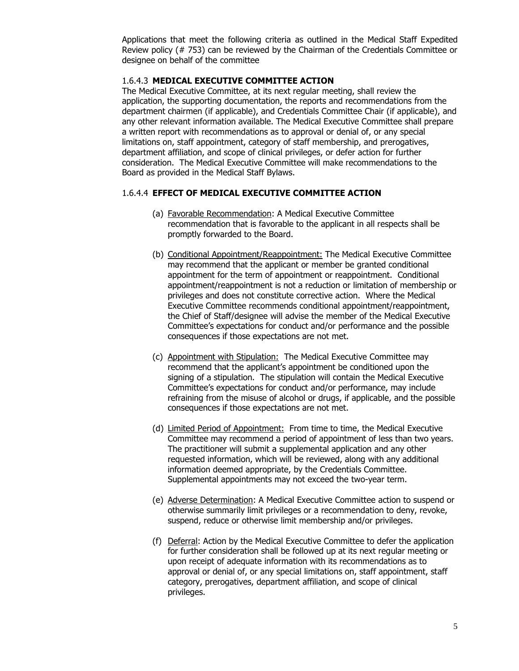Applications that meet the following criteria as outlined in the Medical Staff Expedited Review policy (# 753) can be reviewed by the Chairman of the Credentials Committee or designee on behalf of the committee

#### 1.6.4.3 **MEDICAL EXECUTIVE COMMITTEE ACTION**

The Medical Executive Committee, at its next regular meeting, shall review the application, the supporting documentation, the reports and recommendations from the department chairmen (if applicable), and Credentials Committee Chair (if applicable), and any other relevant information available. The Medical Executive Committee shall prepare a written report with recommendations as to approval or denial of, or any special limitations on, staff appointment, category of staff membership, and prerogatives, department affiliation, and scope of clinical privileges, or defer action for further consideration. The Medical Executive Committee will make recommendations to the Board as provided in the Medical Staff Bylaws.

#### 1.6.4.4 **EFFECT OF MEDICAL EXECUTIVE COMMITTEE ACTION**

- (a) Favorable Recommendation: A Medical Executive Committee recommendation that is favorable to the applicant in all respects shall be promptly forwarded to the Board.
- (b) Conditional Appointment/Reappointment: The Medical Executive Committee may recommend that the applicant or member be granted conditional appointment for the term of appointment or reappointment. Conditional appointment/reappointment is not a reduction or limitation of membership or privileges and does not constitute corrective action. Where the Medical Executive Committee recommends conditional appointment/reappointment, the Chief of Staff/designee will advise the member of the Medical Executive Committee's expectations for conduct and/or performance and the possible consequences if those expectations are not met.
- (c) Appointment with Stipulation: The Medical Executive Committee may recommend that the applicant's appointment be conditioned upon the signing of a stipulation. The stipulation will contain the Medical Executive Committee's expectations for conduct and/or performance, may include refraining from the misuse of alcohol or drugs, if applicable, and the possible consequences if those expectations are not met.
- (d) Limited Period of Appointment: From time to time, the Medical Executive Committee may recommend a period of appointment of less than two years. The practitioner will submit a supplemental application and any other requested information, which will be reviewed, along with any additional information deemed appropriate, by the Credentials Committee. Supplemental appointments may not exceed the two-year term.
- (e) Adverse Determination: A Medical Executive Committee action to suspend or otherwise summarily limit privileges or a recommendation to deny, revoke, suspend, reduce or otherwise limit membership and/or privileges.
- (f) Deferral: Action by the Medical Executive Committee to defer the application for further consideration shall be followed up at its next regular meeting or upon receipt of adequate information with its recommendations as to approval or denial of, or any special limitations on, staff appointment, staff category, prerogatives, department affiliation, and scope of clinical privileges.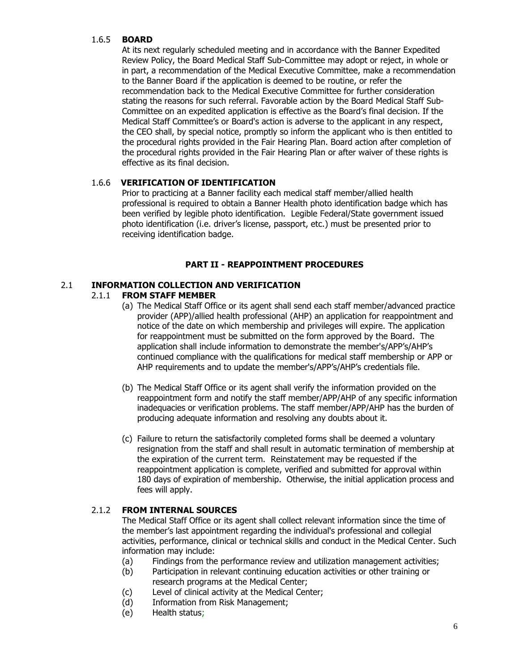## 1.6.5 **BOARD**

At its next regularly scheduled meeting and in accordance with the Banner Expedited Review Policy, the Board Medical Staff Sub-Committee may adopt or reject, in whole or in part, a recommendation of the Medical Executive Committee, make a recommendation to the Banner Board if the application is deemed to be routine, or refer the recommendation back to the Medical Executive Committee for further consideration stating the reasons for such referral. Favorable action by the Board Medical Staff Sub-Committee on an expedited application is effective as the Board's final decision. If the Medical Staff Committee's or Board's action is adverse to the applicant in any respect, the CEO shall, by special notice, promptly so inform the applicant who is then entitled to the procedural rights provided in the Fair Hearing Plan. Board action after completion of the procedural rights provided in the Fair Hearing Plan or after waiver of these rights is effective as its final decision.

## 1.6.6 **VERIFICATION OF IDENTIFICATION**

Prior to practicing at a Banner facility each medical staff member/allied health professional is required to obtain a Banner Health photo identification badge which has been verified by legible photo identification. Legible Federal/State government issued photo identification (i.e. driver's license, passport, etc.) must be presented prior to receiving identification badge.

# **PART II - REAPPOINTMENT PROCEDURES**

## 2.1 **INFORMATION COLLECTION AND VERIFICATION**

## 2.1.1 **FROM STAFF MEMBER**

- (a) The Medical Staff Office or its agent shall send each staff member/advanced practice provider (APP)/allied health professional (AHP) an application for reappointment and notice of the date on which membership and privileges will expire. The application for reappointment must be submitted on the form approved by the Board. The application shall include information to demonstrate the member's/APP's/AHP's continued compliance with the qualifications for medical staff membership or APP or AHP requirements and to update the member's/APP's/AHP's credentials file.
- (b) The Medical Staff Office or its agent shall verify the information provided on the reappointment form and notify the staff member/APP/AHP of any specific information inadequacies or verification problems. The staff member/APP/AHP has the burden of producing adequate information and resolving any doubts about it.
- (c) Failure to return the satisfactorily completed forms shall be deemed a voluntary resignation from the staff and shall result in automatic termination of membership at the expiration of the current term. Reinstatement may be requested if the reappointment application is complete, verified and submitted for approval within 180 days of expiration of membership. Otherwise, the initial application process and fees will apply.

# 2.1.2 **FROM INTERNAL SOURCES**

The Medical Staff Office or its agent shall collect relevant information since the time of the member's last appointment regarding the individual's professional and collegial activities, performance, clinical or technical skills and conduct in the Medical Center. Such information may include:

- (a) Findings from the performance review and utilization management activities;
- (b) Participation in relevant continuing education activities or other training or research programs at the Medical Center;
- (c) Level of clinical activity at the Medical Center;
- (d) Information from Risk Management;
- (e) Health status;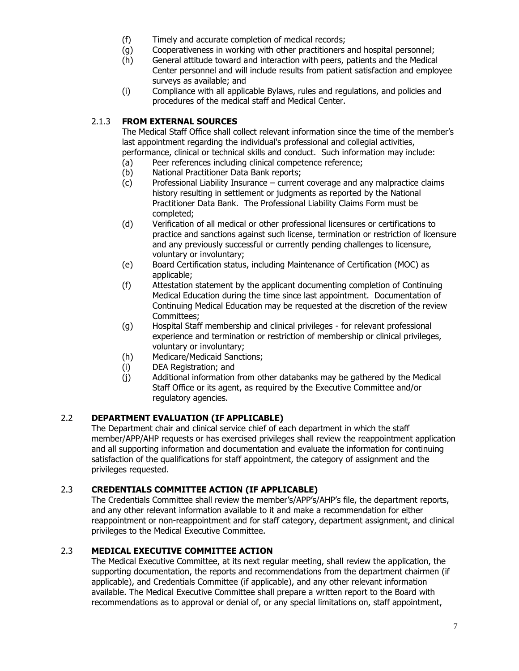- (f) Timely and accurate completion of medical records;
- (g) Cooperativeness in working with other practitioners and hospital personnel;
- (h) General attitude toward and interaction with peers, patients and the Medical Center personnel and will include results from patient satisfaction and employee surveys as available; and
- (i) Compliance with all applicable Bylaws, rules and regulations, and policies and procedures of the medical staff and Medical Center.

# 2.1.3 **FROM EXTERNAL SOURCES**

The Medical Staff Office shall collect relevant information since the time of the member's last appointment regarding the individual's professional and collegial activities, performance, clinical or technical skills and conduct. Such information may include:

- (a) Peer references including clinical competence reference;
- (b) National Practitioner Data Bank reports;
- (c) Professional Liability Insurance current coverage and any malpractice claims history resulting in settlement or judgments as reported by the National Practitioner Data Bank. The Professional Liability Claims Form must be completed;
- (d) Verification of all medical or other professional licensures or certifications to practice and sanctions against such license, termination or restriction of licensure and any previously successful or currently pending challenges to licensure, voluntary or involuntary;
- (e) Board Certification status, including Maintenance of Certification (MOC) as applicable;
- (f) Attestation statement by the applicant documenting completion of Continuing Medical Education during the time since last appointment. Documentation of Continuing Medical Education may be requested at the discretion of the review Committees;
- (g) Hospital Staff membership and clinical privileges for relevant professional experience and termination or restriction of membership or clinical privileges, voluntary or involuntary;
- (h) Medicare/Medicaid Sanctions;
- (i) DEA Registration; and
- (j) Additional information from other databanks may be gathered by the Medical Staff Office or its agent, as required by the Executive Committee and/or regulatory agencies.

# 2.2 **DEPARTMENT EVALUATION (IF APPLICABLE)**

The Department chair and clinical service chief of each department in which the staff member/APP/AHP requests or has exercised privileges shall review the reappointment application and all supporting information and documentation and evaluate the information for continuing satisfaction of the qualifications for staff appointment, the category of assignment and the privileges requested.

## 2.3 **CREDENTIALS COMMITTEE ACTION (IF APPLICABLE)**

The Credentials Committee shall review the member's/APP's/AHP's file, the department reports, and any other relevant information available to it and make a recommendation for either reappointment or non-reappointment and for staff category, department assignment, and clinical privileges to the Medical Executive Committee.

## 2.3 **MEDICAL EXECUTIVE COMMITTEE ACTION**

The Medical Executive Committee, at its next regular meeting, shall review the application, the supporting documentation, the reports and recommendations from the department chairmen (if applicable), and Credentials Committee (if applicable), and any other relevant information available. The Medical Executive Committee shall prepare a written report to the Board with recommendations as to approval or denial of, or any special limitations on, staff appointment,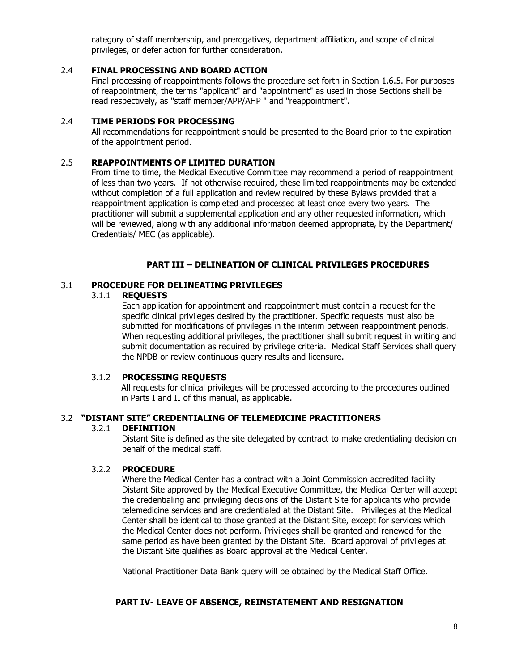category of staff membership, and prerogatives, department affiliation, and scope of clinical privileges, or defer action for further consideration.

## 2.4 **FINAL PROCESSING AND BOARD ACTION**

Final processing of reappointments follows the procedure set forth in Section 1.6.5. For purposes of reappointment, the terms "applicant" and "appointment" as used in those Sections shall be read respectively, as "staff member/APP/AHP " and "reappointment".

#### 2.4 **TIME PERIODS FOR PROCESSING**

All recommendations for reappointment should be presented to the Board prior to the expiration of the appointment period.

#### 2.5 **REAPPOINTMENTS OF LIMITED DURATION**

From time to time, the Medical Executive Committee may recommend a period of reappointment of less than two years. If not otherwise required, these limited reappointments may be extended without completion of a full application and review required by these Bylaws provided that a reappointment application is completed and processed at least once every two years. The practitioner will submit a supplemental application and any other requested information, which will be reviewed, along with any additional information deemed appropriate, by the Department/ Credentials/ MEC (as applicable).

#### **PART III – DELINEATION OF CLINICAL PRIVILEGES PROCEDURES**

#### 3.1 **PROCEDURE FOR DELINEATING PRIVILEGES**

#### 3.1.1 **REQUESTS**

Each application for appointment and reappointment must contain a request for the specific clinical privileges desired by the practitioner. Specific requests must also be submitted for modifications of privileges in the interim between reappointment periods. When requesting additional privileges, the practitioner shall submit request in writing and submit documentation as required by privilege criteria. Medical Staff Services shall query the NPDB or review continuous query results and licensure.

#### 3.1.2 **PROCESSING REQUESTS**

All requests for clinical privileges will be processed according to the procedures outlined in Parts I and II of this manual, as applicable.

## 3.2 **"DISTANT SITE" CREDENTIALING OF TELEMEDICINE PRACTITIONERS**

#### 3.2.1 **DEFINITION**

Distant Site is defined as the site delegated by contract to make credentialing decision on behalf of the medical staff.

#### 3.2.2 **PROCEDURE**

Where the Medical Center has a contract with a Joint Commission accredited facility Distant Site approved by the Medical Executive Committee, the Medical Center will accept the credentialing and privileging decisions of the Distant Site for applicants who provide telemedicine services and are credentialed at the Distant Site. Privileges at the Medical Center shall be identical to those granted at the Distant Site, except for services which the Medical Center does not perform. Privileges shall be granted and renewed for the same period as have been granted by the Distant Site. Board approval of privileges at the Distant Site qualifies as Board approval at the Medical Center.

National Practitioner Data Bank query will be obtained by the Medical Staff Office.

#### **PART IV- LEAVE OF ABSENCE, REINSTATEMENT AND RESIGNATION**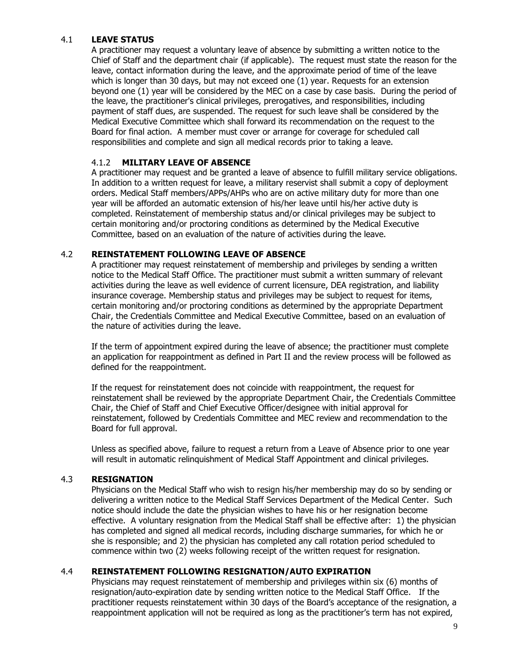## 4.1 **LEAVE STATUS**

A practitioner may request a voluntary leave of absence by submitting a written notice to the Chief of Staff and the department chair (if applicable). The request must state the reason for the leave, contact information during the leave, and the approximate period of time of the leave which is longer than 30 days, but may not exceed one (1) year. Requests for an extension beyond one (1) year will be considered by the MEC on a case by case basis. During the period of the leave, the practitioner's clinical privileges, prerogatives, and responsibilities, including payment of staff dues, are suspended. The request for such leave shall be considered by the Medical Executive Committee which shall forward its recommendation on the request to the Board for final action. A member must cover or arrange for coverage for scheduled call responsibilities and complete and sign all medical records prior to taking a leave.

# 4.1.2 **MILITARY LEAVE OF ABSENCE**

A practitioner may request and be granted a leave of absence to fulfill military service obligations. In addition to a written request for leave, a military reservist shall submit a copy of deployment orders. Medical Staff members/APPs/AHPs who are on active military duty for more than one year will be afforded an automatic extension of his/her leave until his/her active duty is completed. Reinstatement of membership status and/or clinical privileges may be subject to certain monitoring and/or proctoring conditions as determined by the Medical Executive Committee, based on an evaluation of the nature of activities during the leave.

## 4.2 **REINSTATEMENT FOLLOWING LEAVE OF ABSENCE**

A practitioner may request reinstatement of membership and privileges by sending a written notice to the Medical Staff Office. The practitioner must submit a written summary of relevant activities during the leave as well evidence of current licensure, DEA registration, and liability insurance coverage. Membership status and privileges may be subject to request for items, certain monitoring and/or proctoring conditions as determined by the appropriate Department Chair, the Credentials Committee and Medical Executive Committee, based on an evaluation of the nature of activities during the leave.

If the term of appointment expired during the leave of absence; the practitioner must complete an application for reappointment as defined in Part II and the review process will be followed as defined for the reappointment.

If the request for reinstatement does not coincide with reappointment, the request for reinstatement shall be reviewed by the appropriate Department Chair, the Credentials Committee Chair, the Chief of Staff and Chief Executive Officer/designee with initial approval for reinstatement, followed by Credentials Committee and MEC review and recommendation to the Board for full approval.

Unless as specified above, failure to request a return from a Leave of Absence prior to one year will result in automatic relinquishment of Medical Staff Appointment and clinical privileges.

## 4.3 **RESIGNATION**

Physicians on the Medical Staff who wish to resign his/her membership may do so by sending or delivering a written notice to the Medical Staff Services Department of the Medical Center. Such notice should include the date the physician wishes to have his or her resignation become effective. A voluntary resignation from the Medical Staff shall be effective after: 1) the physician has completed and signed all medical records, including discharge summaries, for which he or she is responsible; and 2) the physician has completed any call rotation period scheduled to commence within two (2) weeks following receipt of the written request for resignation.

# 4.4 **REINSTATEMENT FOLLOWING RESIGNATION/AUTO EXPIRATION**

Physicians may request reinstatement of membership and privileges within six (6) months of resignation/auto-expiration date by sending written notice to the Medical Staff Office. If the practitioner requests reinstatement within 30 days of the Board's acceptance of the resignation, a reappointment application will not be required as long as the practitioner's term has not expired,